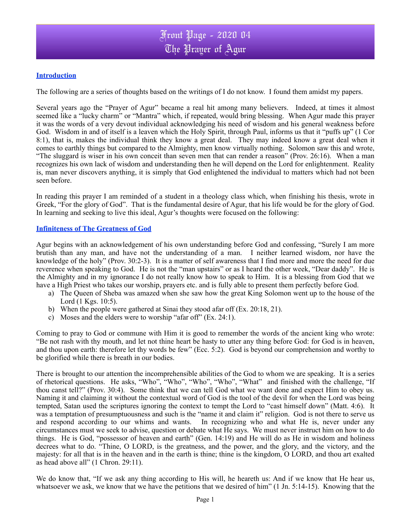## **Introduction**

The following are a series of thoughts based on the writings of I do not know. I found them amidst my papers.

Several years ago the "Prayer of Agur" became a real hit among many believers. Indeed, at times it almost seemed like a "lucky charm" or "Mantra" which, if repeated, would bring blessing. When Agur made this prayer it was the words of a very devout individual acknowledging his need of wisdom and his general weakness before God. Wisdom in and of itself is a leaven which the Holy Spirit, through Paul, informs us that it "puffs up" (1 Cor 8:1), that is, makes the individual think they know a great deal. They may indeed know a great deal when it comes to earthly things but compared to the Almighty, men know virtually nothing. Solomon saw this and wrote, "The sluggard is wiser in his own conceit than seven men that can render a reason" (Prov. 26:16). When a man recognizes his own lack of wisdom and understanding then he will depend on the Lord for enlightenment. Reality is, man never discovers anything, it is simply that God enlightened the individual to matters which had not been seen before.

In reading this prayer I am reminded of a student in a theology class which, when finishing his thesis, wrote in Greek, "For the glory of God". That is the fundamental desire of Agur, that his life would be for the glory of God. In learning and seeking to live this ideal, Agur's thoughts were focused on the following:

#### **Infiniteness of The Greatness of God**

Agur begins with an acknowledgement of his own understanding before God and confessing, "Surely I am more brutish than any man, and have not the understanding of a man. I neither learned wisdom, nor have the knowledge of the holy" (Prov. 30:2-3). It is a matter of self awareness that I find more and more the need for due reverence when speaking to God. He is not the "man upstairs" or as I heard the other week, "Dear daddy". He is the Almighty and in my ignorance I do not really know how to speak to Him. It is a blessing from God that we have a High Priest who takes our worship, prayers etc. and is fully able to present them perfectly before God.

- a) The Queen of Sheba was amazed when she saw how the great King Solomon went up to the house of the Lord (1 Kgs. 10:5).
- b) When the people were gathered at Sinai they stood afar off (Ex. 20:18, 21).
- c) Moses and the elders were to worship "afar off" (Ex. 24:1).

Coming to pray to God or commune with Him it is good to remember the words of the ancient king who wrote: "Be not rash with thy mouth, and let not thine heart be hasty to utter any thing before God: for God is in heaven, and thou upon earth: therefore let thy words be few" (Ecc. 5:2). God is beyond our comprehension and worthy to be glorified while there is breath in our bodies.

There is brought to our attention the incomprehensible abilities of the God to whom we are speaking. It is a series of rhetorical questions. He asks, "Who", "Who", "Who", "Who", "What" and finished with the challenge, "If thou canst tell?" (Prov. 30:4). Some think that we can tell God what we want done and expect Him to obey us. Naming it and claiming it without the contextual word of God is the tool of the devil for when the Lord was being tempted, Satan used the scriptures ignoring the context to tempt the Lord to "cast himself down" (Matt. 4:6). It was a temptation of presumptuousness and such is the "name it and claim it" religion. God is not there to serve us and respond according to our whims and wants. In recognizing who and what He is, never under any circumstances must we seek to advise, question or debate what He says. We must never instruct him on how to do things. He is God, "possessor of heaven and earth" (Gen. 14:19) and He will do as He in wisdom and holiness decrees what to do. "Thine, O LORD, is the greatness, and the power, and the glory, and the victory, and the majesty: for all that is in the heaven and in the earth is thine; thine is the kingdom, O LORD, and thou art exalted as head above all" (1 Chron. 29:11).

We do know that, "If we ask any thing according to His will, he heareth us: And if we know that He hear us, whatsoever we ask, we know that we have the petitions that we desired of him" (1 Jn. 5:14-15). Knowing that the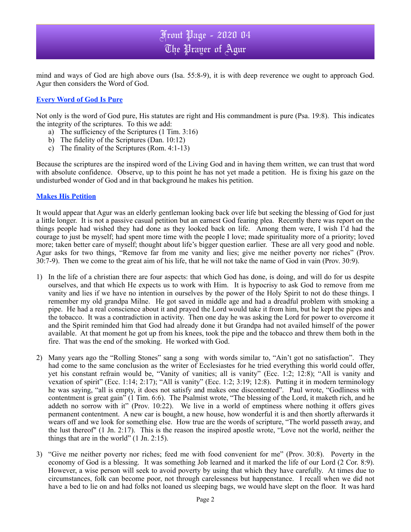# Front Page - 2020 04 The Prayer of Agur

mind and ways of God are high above ours (Isa. 55:8-9), it is with deep reverence we ought to approach God. Agur then considers the Word of God.

### **Every Word of God Is Pure**

Not only is the word of God pure, His statutes are right and His commandment is pure (Psa. 19:8). This indicates the integrity of the scriptures. To this we add:

- a) The sufficiency of the Scriptures (1 Tim. 3:16)
- b) The fidelity of the Scriptures (Dan. 10:12)
- c) The finality of the Scriptures (Rom. 4:1-13)

Because the scriptures are the inspired word of the Living God and in having them written, we can trust that word with absolute confidence. Observe, up to this point he has not yet made a petition. He is fixing his gaze on the undisturbed wonder of God and in that background he makes his petition.

### **Makes His Petition**

It would appear that Agur was an elderly gentleman looking back over life but seeking the blessing of God for just a little longer. It is not a passive casual petition but an earnest God fearing plea. Recently there was report on the things people had wished they had done as they looked back on life. Among them were, I wish I'd had the courage to just be myself; had spent more time with the people I love; made spirituality more of a priority; loved more; taken better care of myself; thought about life's bigger question earlier. These are all very good and noble. Agur asks for two things, "Remove far from me vanity and lies; give me neither poverty nor riches" (Prov. 30:7-9). Then we come to the great aim of his life, that he will not take the name of God in vain (Prov. 30:9).

- 1) In the life of a christian there are four aspects: that which God has done, is doing, and will do for us despite ourselves, and that which He expects us to work with Him. It is hypocrisy to ask God to remove from me vanity and lies if we have no intention in ourselves by the power of the Holy Spirit to not do these things. I remember my old grandpa Milne. He got saved in middle age and had a dreadful problem with smoking a pipe. He had a real conscience about it and prayed the Lord would take it from him, but he kept the pipes and the tobacco. It was a contradiction in activity. Then one day he was asking the Lord for power to overcome it and the Spirit reminded him that God had already done it but Grandpa had not availed himself of the power available. At that moment he got up from his knees, took the pipe and the tobacco and threw them both in the fire. That was the end of the smoking. He worked with God.
- 2) Many years ago the "Rolling Stones" sang a song with words similar to, "Ain't got no satisfaction". They had come to the same conclusion as the writer of Ecclesiastes for he tried everything this world could offer, yet his constant refrain would be, "Vanity of vanities; all is vanity" (Ecc. 1:2; 12:8); "All is vanity and vexation of spirit" (Ecc. 1:14; 2:17); "All is vanity" (Ecc. 1:2; 3:19; 12:8). Putting it in modern terminology he was saying, "all is empty, it does not satisfy and makes one discontented". Paul wrote, "Godliness with contentment is great gain" (1 Tim. 6:6). The Psalmist wrote, "The blessing of the Lord, it maketh rich, and he addeth no sorrow with it" (Prov. 10:22). We live in a world of emptiness where nothing it offers gives permanent contentment. A new car is bought, a new house, how wonderful it is and then shortly afterwards it wears off and we look for something else. How true are the words of scripture, "The world passeth away, and the lust thereof" (1 Jn. 2:17). This is the reason the inspired apostle wrote, "Love not the world, neither the things that are in the world" (1 Jn. 2:15).
- 3) "Give me neither poverty nor riches; feed me with food convenient for me" (Prov. 30:8). Poverty in the economy of God is a blessing. It was something Job learned and it marked the life of our Lord (2 Cor. 8:9). However, a wise person will seek to avoid poverty by using that which they have carefully. At times due to circumstances, folk can become poor, not through carelessness but happenstance. I recall when we did not have a bed to lie on and had folks not loaned us sleeping bags, we would have slept on the floor. It was hard